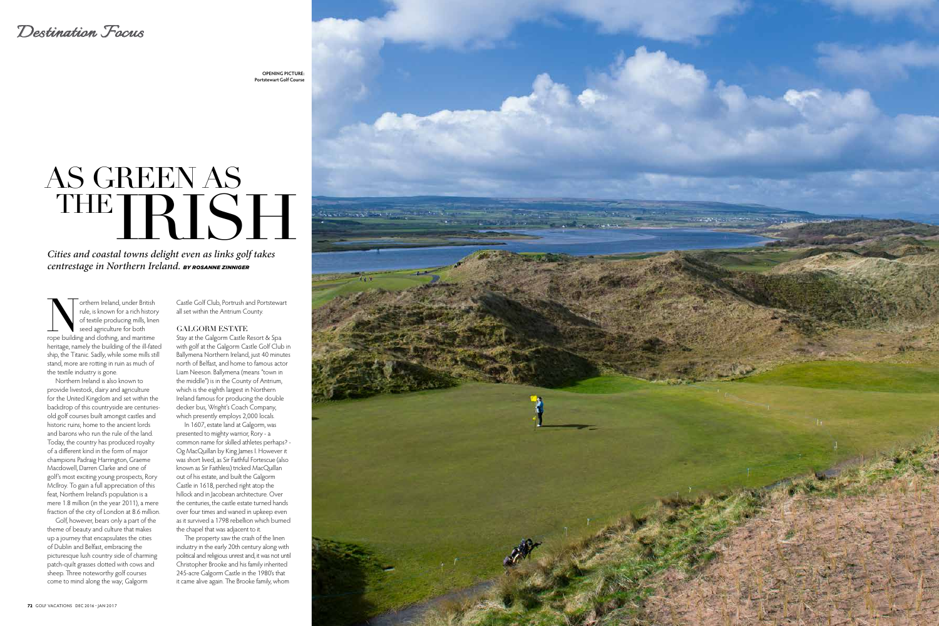## *Destination Focus*

# AS GREEN AS THE RISE

*Cities and coastal towns delight even as links golf takes centrestage in Northern Ireland. BY ROSANNE ZINNIGER*

Tothern Ireland, under British<br>
rule, is known for a rich history<br>
of textile producing mills, line<br>
seed agriculture for both<br>
rope building and clothing, and maritime rule, is known for a rich history of textile producing mills, linen seed agriculture for both heritage, namely the building of the ill-fated ship, the Titanic. Sadly, while some mills still stand, more are rotting in ruin as much of the textile industry is gone.

Stay at the Galgorm Castle Resort & Spa with golf at the Galgorm Castle Golf Club in Ballymena Northern Ireland, just 40 minutes north of Belfast, and home to famous actor Liam Neeson. Ballymena (means "town in the middle") is in the County of Antrium, which is the eighth largest in Northern Ireland famous for producing the double decker bus, Wright's Coach Company, which presently employs 2,000 locals.

Northern Ireland is also known to provide livestock, dairy and agriculture for the United Kingdom and set within the backdrop of this countryside are centuriesold golf courses built amongst castles and historic ruins; home to the ancient lords and barons who run the rule of the land. Today, the country has produced royalty of a different kind in the form of major champions Padraig Harrington, Graeme Macdowell, Darren Clarke and one of golf's most exciting young prospects, Rory McIlroy. To gain a full appreciation of this feat, Northern Ireland's population is a mere 1.8 million (in the year 2011), a mere fraction of the city of London at 8.6 million.

Golf, however, bears only a part of the theme of beauty and culture that makes up a journey that encapsulates the cities of Dublin and Belfast, embracing the picturesque lush country side of charming patch-quilt grasses dotted with cows and sheep. Three noteworthy golf courses come to mind along the way; Galgorm

Castle Golf Club, Portrush and Portstewart all set within the Antrium County.

#### GALGORM ESTATE

In 1607, estate land at Galgorm, was presented to mighty warrior, Rory - a common name for skilled athletes perhaps? - Og MacQuillan by King James I. However it was short lived, as Sir Faithful Fortescue (also known as Sir Faithless) tricked MacQuillan out of his estate, and built the Galgorm Castle in 1618, perched right atop the hillock and in Jacobean architecture. Over the centuries, the castle estate turned hands over four times and waned in upkeep even as it survived a 1798 rebellion which burned the chapel that was adjacent to it.

The property saw the crash of the linen industry in the early 20th century along with political and religious unrest and, it was not until Christopher Brooke and his family inherited 245-acre Galgorm Castle in the 1980's that it came alive again. The Brooke family, whom



**OPENING PICTURE: Portstewart Golf Course**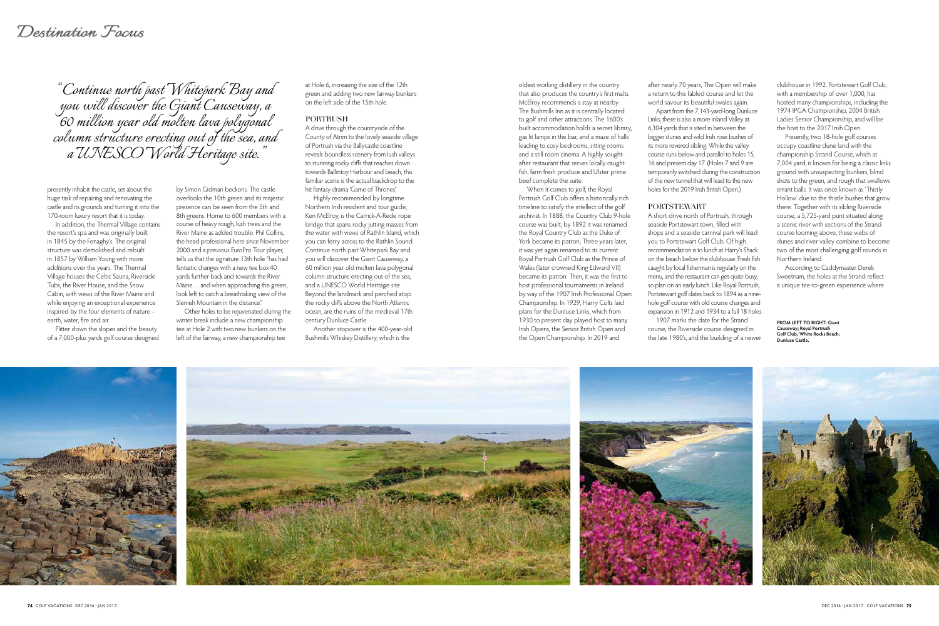## *Destination Focus*

oldest working distillery in the country that also produces the country's first malts. McElroy recommends a stay at nearby The Bushmills Inn as it is centrally located to golf and other attractions. The 1600's built accommodation holds a secret library, gas lit lamps in the bar, and a maze of halls leading to cosy bedrooms, sitting rooms and a still room cinema. A highly soughtafter restaurant that serves locally caught fish, farm fresh produce and Ulster prime beef complete the suite.

When it comes to golf, the Royal Portrush Golf Club offers a historically rich timeline to satisfy the intellect of the golf archivist. In 1888, the Country Club 9-hole course was built; by 1892 it was renamed the Royal Country Club as the Duke of York became its patron; Three years later, it was yet again renamed to its current Royal Portrush Golf Club as the Prince of Wales (later crowned King Edward VII) became its patron. Then, it was the first to host professional tournaments in Ireland by way of the 1907 Irish Professional Open Championship. In 1929, Harry Colts laid plans for the Dunluce Links, which from 1930 to present day played host to many Irish Opens, the Senior British Open and the Open Championship. In 2019 and





by Simon Gidman beckons. The castle overlooks the 10th green and its majestic presence can be seen from the 5th and 8th greens. Home to 600 members with a course of heavy rough, lush trees and the River Maine as added trouble. Phil Collins, the head professional here since November 2000 and a previous EuroPro Tour player, tells us that the signature 13th hole "has had fantastic changes with a new tee box 40 yards further back and towards the River Maine… and when approaching the green, look left to catch a breathtaking view of the Slemish Mountain in the distance."

Other holes to be rejuvenated during the winter break include a new championship tee at Hole 2 with two new bunkers on the left of the fairway, a new championship tee

at Hole 6, increasing the size of the 12th green and adding two new fairway bunkers on the left side of the 15th hole.

#### PORTRUSH

A drive through the countryside of the County of Atrim to the lovely seaside village of Portrush via the Ballycastle coastline reveals boundless scenery from lush valleys to stunning rocky cliffs that reaches down towards Ballintoy Harbour and beach; this familiar scene is the actual backdrop to the hit fantasy drama 'Game of Thrones'.

Highly recommended by longtime Northern Irish resident and tour guide, Ken McElroy, is the Carrick-A-Rede rope bridge that spans rocky jutting masses from the water with views of Rathlin Island, which you can ferry across to the Rathlin Sound. Continue north past Whitepark Bay and you will discover the Giant Causeway, a 60 million year old molten lava polygonal column structure erecting out of the sea, and a UNESCO World Heritage site. Beyond the landmark and perched atop the rocky cliffs above the North Atlantic ocean, are the ruins of the medieval 17th century Dunluce Castle.

Another stopover is the 400-year-old Bushmills Whiskey Distillery, which is the

*"Continue north past Whitepark Bay and you will discover the Giant Causeway, a 60 million year old molten lava polygonal column structure erecting out of the sea, and a UNESCO World Heritage site."*

after nearly 70 years, The Open will make a return to this fabled course and let the world savour its beautiful swales again. Apart from the 7,143-yard-long Dunluce Links, there is also a more inland Valley at 6,304 yards that is sited in between the bigger dunes and wild Irish rose bushes of its more revered sibling. While the valley course runs below and parallel to holes 15, 16 and present day 17. (Holes 7 and 9 are temporarily switched during the construction of the new tunnel that will lead to the new holes for the 2019 Irish British Open.)

#### PORTSTEWART

A short drive north of Portrush, through seaside Portstewart town, filled with shops and a seaside carnival park will lead you to Portstewart Golf Club. Of high recommendation is to lunch at Harry's Shack on the beach below the clubhouse. Fresh fish caught by local fisherman is regularly on the menu, and the restaurant can get quite busy, so plan on an early lunch. Like Royal Portrush, Portstewart golf dates back to 1894 as a ninehole golf course with old course changes and expansion in 1912 and 1934 to a full 18 holes.

1907 marks the date for the Strand course, the Riverside course designed in the late 1980's, and the building of a newer clubhouse in 1992. Portstewart Golf Club, with a membership of over 1,000, has hosted many championships, including the 1974 IPGA Championship, 2004 British Ladies Senior Championship, and will be the host to the 2017 Irish Open.

Presently, two 18-hole golf courses occupy coastline dune land with the championship Strand Course, which at 7,004 yard, is known for being a classic links ground with unsuspecting bunkers, blind shots to the green, and rough that swallows errant balls. It was once known as 'Thistly Hollow' due to the thistle bushes that grow there. Together with its sibling Riverside course, a 5,725-yard punt situated along a scenic river with sections of the Strand course looming above, these webs of dunes and river valley combine to become two of the most challenging golf rounds in Northern Ireland.

According to Caddymaster Derek Sweetnam, the holes at the Strand reflect a unique tee-to-green experience where

**FROM LEFT TO RIGHT: Giant Causeway; Royal Portrush Golf Club; White Rocks Beach; Dunluce Castle.**





presently inhabit the castle, set about the huge task of repairing and renovating the castle and its grounds and turning it into the 170-room luxury resort that it is today.

In addition, the Thermal Village contains the resort's spa and was originally built in 1845 by the Fenaghy's. The original structure was demolished and rebuilt in 1857 by William Young with more additions over the years. The Thermal Village houses the Celtic Sauna, Riverside Tubs, the River House, and the Snow Cabin, with views of the River Maine and while enjoying an exceptional experience inspired by the four elements of nature – earth, water, fire and air.

Flitter down the slopes and the beauty of a 7,000-plus yards golf course designed